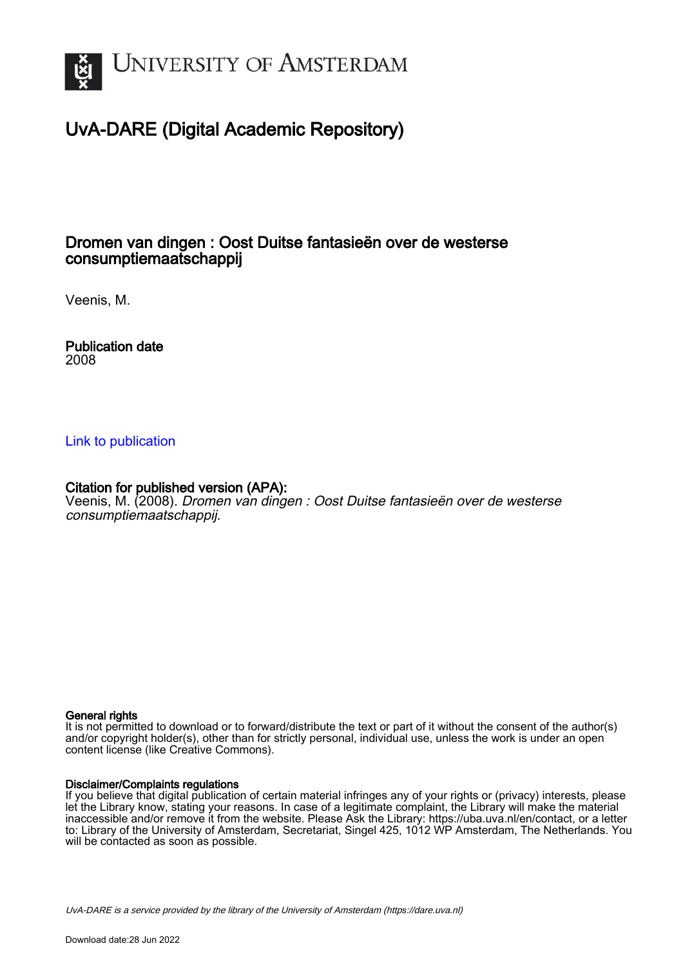

# UvA-DARE (Digital Academic Repository)

# Dromen van dingen : Oost Duitse fantasieën over de westerse consumptiemaatschappij

Veenis, M.

Publication date 2008

## [Link to publication](https://dare.uva.nl/personal/pure/en/publications/dromen-van-dingen--oost-duitse-fantasieen-over-de-westerse-consumptiemaatschappij(d6f13508-1c96-4d9f-9389-9e4dbb2e8a34).html)

## Citation for published version (APA):

Veenis, M. (2008). Dromen van dingen : Oost Duitse fantasieën over de westerse consumptiemaatschappij.

#### General rights

It is not permitted to download or to forward/distribute the text or part of it without the consent of the author(s) and/or copyright holder(s), other than for strictly personal, individual use, unless the work is under an open content license (like Creative Commons).

#### Disclaimer/Complaints regulations

If you believe that digital publication of certain material infringes any of your rights or (privacy) interests, please let the Library know, stating your reasons. In case of a legitimate complaint, the Library will make the material inaccessible and/or remove it from the website. Please Ask the Library: https://uba.uva.nl/en/contact, or a letter to: Library of the University of Amsterdam, Secretariat, Singel 425, 1012 WP Amsterdam, The Netherlands. You will be contacted as soon as possible.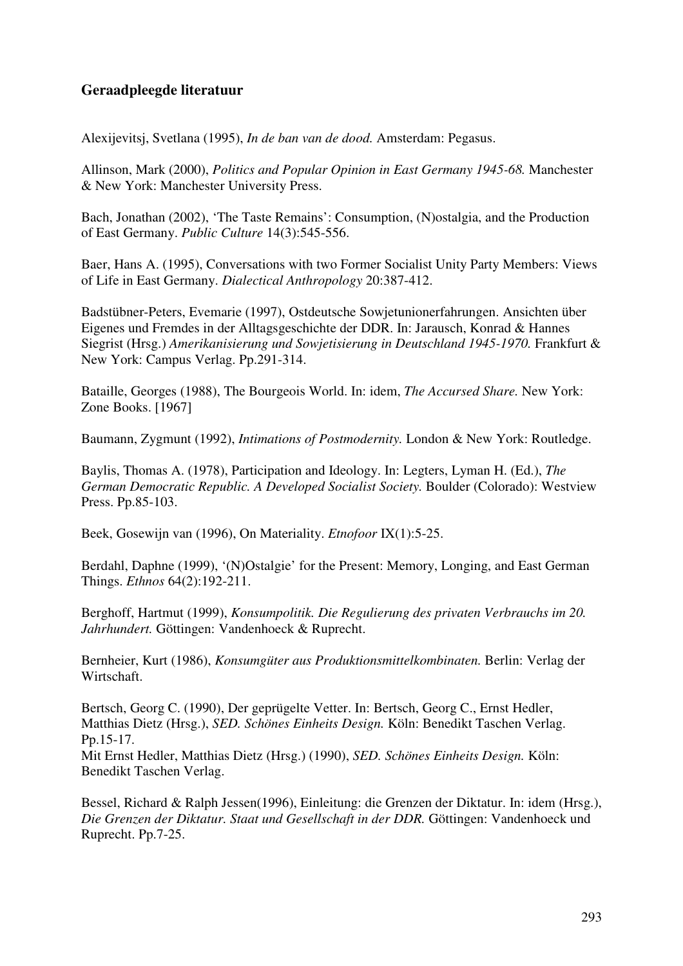## **Geraadpleegde literatuur**

Alexijevitsj, Svetlana (1995), *In de ban van de dood.* Amsterdam: Pegasus.

Allinson, Mark (2000), *Politics and Popular Opinion in East Germany 1945-68.* Manchester & New York: Manchester University Press.

Bach, Jonathan (2002), 'The Taste Remains': Consumption, (N)ostalgia, and the Production of East Germany. *Public Culture* 14(3):545-556.

Baer, Hans A. (1995), Conversations with two Former Socialist Unity Party Members: Views of Life in East Germany. *Dialectical Anthropology* 20:387-412.

Badstübner-Peters, Evemarie (1997), Ostdeutsche Sowjetunionerfahrungen. Ansichten über Eigenes und Fremdes in der Alltagsgeschichte der DDR. In: Jarausch, Konrad & Hannes Siegrist (Hrsg.) *Amerikanisierung und Sowjetisierung in Deutschland 1945-1970.* Frankfurt & New York: Campus Verlag. Pp.291-314.

Bataille, Georges (1988), The Bourgeois World. In: idem, *The Accursed Share.* New York: Zone Books. [1967]

Baumann, Zygmunt (1992), *Intimations of Postmodernity.* London & New York: Routledge.

Baylis, Thomas A. (1978), Participation and Ideology. In: Legters, Lyman H. (Ed.), *The German Democratic Republic. A Developed Socialist Society.* Boulder (Colorado): Westview Press. Pp.85-103.

Beek, Gosewijn van (1996), On Materiality. *Etnofoor* IX(1):5-25.

Berdahl, Daphne (1999), '(N)Ostalgie' for the Present: Memory, Longing, and East German Things. *Ethnos* 64(2):192-211.

Berghoff, Hartmut (1999), *Konsumpolitik. Die Regulierung des privaten Verbrauchs im 20. Jahrhundert.* Göttingen: Vandenhoeck & Ruprecht.

Bernheier, Kurt (1986), *Konsumgüter aus Produktionsmittelkombinaten.* Berlin: Verlag der Wirtschaft.

Bertsch, Georg C. (1990), Der geprügelte Vetter. In: Bertsch, Georg C., Ernst Hedler, Matthias Dietz (Hrsg.), *SED. Schönes Einheits Design.* Köln: Benedikt Taschen Verlag. Pp.15-17. Mit Ernst Hedler, Matthias Dietz (Hrsg.) (1990), *SED. Schönes Einheits Design.* Köln: Benedikt Taschen Verlag.

Bessel, Richard & Ralph Jessen(1996), Einleitung: die Grenzen der Diktatur. In: idem (Hrsg.), *Die Grenzen der Diktatur. Staat und Gesellschaft in der DDR.* Göttingen: Vandenhoeck und Ruprecht. Pp.7-25.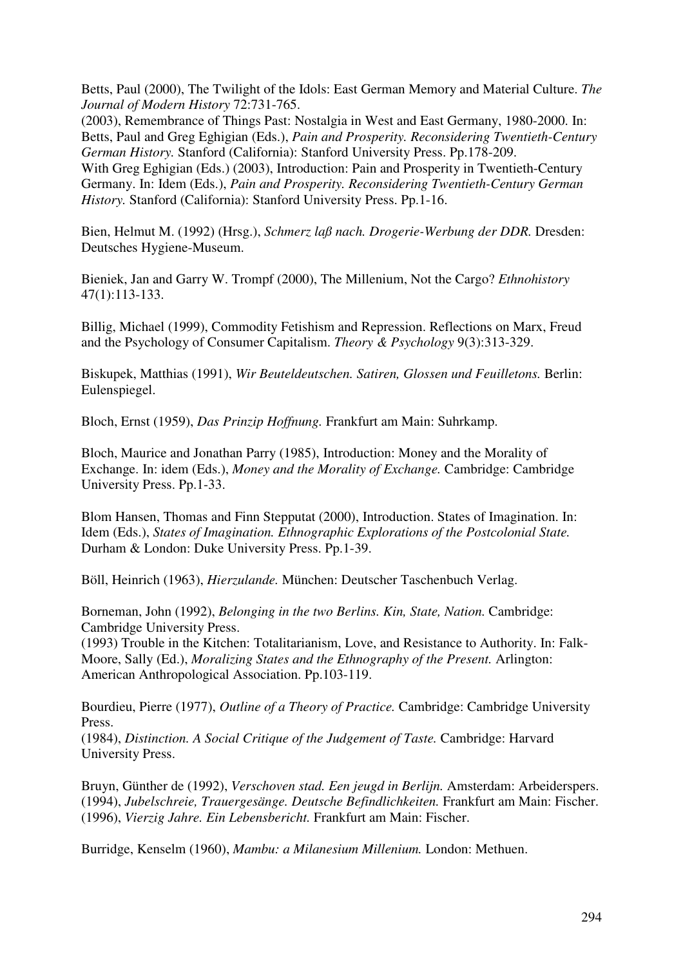Betts, Paul (2000), The Twilight of the Idols: East German Memory and Material Culture. *The Journal of Modern History* 72:731-765.

(2003), Remembrance of Things Past: Nostalgia in West and East Germany, 1980-2000. In: Betts, Paul and Greg Eghigian (Eds.), *Pain and Prosperity. Reconsidering Twentieth-Century German History.* Stanford (California): Stanford University Press. Pp.178-209. With Greg Eghigian (Eds.) (2003), Introduction: Pain and Prosperity in Twentieth-Century Germany. In: Idem (Eds.), *Pain and Prosperity. Reconsidering Twentieth-Century German History.* Stanford (California): Stanford University Press. Pp.1-16.

Bien, Helmut M. (1992) (Hrsg.), *Schmerz laß nach. Drogerie-Werbung der DDR.* Dresden: Deutsches Hygiene-Museum.

Bieniek, Jan and Garry W. Trompf (2000), The Millenium, Not the Cargo? *Ethnohistory* 47(1):113-133.

Billig, Michael (1999), Commodity Fetishism and Repression. Reflections on Marx, Freud and the Psychology of Consumer Capitalism. *Theory & Psychology* 9(3):313-329.

Biskupek, Matthias (1991), *Wir Beuteldeutschen. Satiren, Glossen und Feuilletons.* Berlin: Eulenspiegel.

Bloch, Ernst (1959), *Das Prinzip Hoffnung.* Frankfurt am Main: Suhrkamp.

Bloch, Maurice and Jonathan Parry (1985), Introduction: Money and the Morality of Exchange. In: idem (Eds.), *Money and the Morality of Exchange.* Cambridge: Cambridge University Press. Pp.1-33.

Blom Hansen, Thomas and Finn Stepputat (2000), Introduction. States of Imagination. In: Idem (Eds.), *States of Imagination. Ethnographic Explorations of the Postcolonial State.* Durham & London: Duke University Press. Pp.1-39.

Böll, Heinrich (1963), *Hierzulande.* München: Deutscher Taschenbuch Verlag.

Borneman, John (1992), *Belonging in the two Berlins. Kin, State, Nation.* Cambridge: Cambridge University Press.

(1993) Trouble in the Kitchen: Totalitarianism, Love, and Resistance to Authority. In: Falk-Moore, Sally (Ed.), *Moralizing States and the Ethnography of the Present.* Arlington: American Anthropological Association. Pp.103-119.

Bourdieu, Pierre (1977), *Outline of a Theory of Practice.* Cambridge: Cambridge University Press.

(1984), *Distinction. A Social Critique of the Judgement of Taste.* Cambridge: Harvard University Press.

Bruyn, Günther de (1992), *Verschoven stad. Een jeugd in Berlijn.* Amsterdam: Arbeiderspers. (1994), *Jubelschreie, Trauergesänge. Deutsche Befindlichkeiten.* Frankfurt am Main: Fischer. (1996), *Vierzig Jahre. Ein Lebensbericht.* Frankfurt am Main: Fischer.

Burridge, Kenselm (1960), *Mambu: a Milanesium Millenium.* London: Methuen.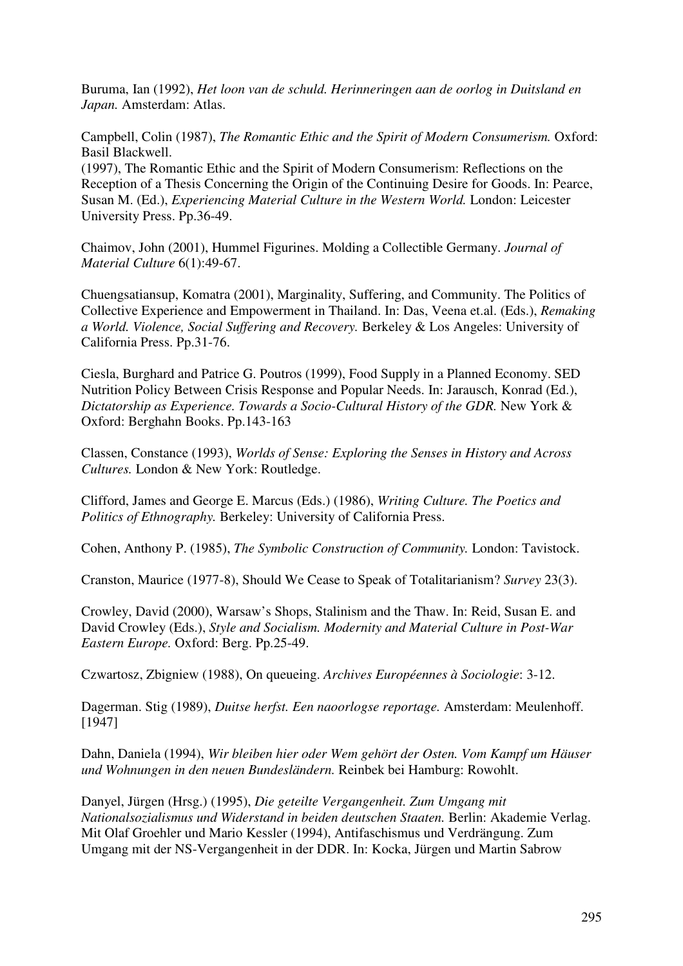Buruma, Ian (1992), *Het loon van de schuld. Herinneringen aan de oorlog in Duitsland en Japan.* Amsterdam: Atlas.

Campbell, Colin (1987), *The Romantic Ethic and the Spirit of Modern Consumerism.* Oxford: Basil Blackwell.

(1997), The Romantic Ethic and the Spirit of Modern Consumerism: Reflections on the Reception of a Thesis Concerning the Origin of the Continuing Desire for Goods. In: Pearce, Susan M. (Ed.), *Experiencing Material Culture in the Western World.* London: Leicester University Press. Pp.36-49.

Chaimov, John (2001), Hummel Figurines. Molding a Collectible Germany. *Journal of Material Culture* 6(1):49-67.

Chuengsatiansup, Komatra (2001), Marginality, Suffering, and Community. The Politics of Collective Experience and Empowerment in Thailand. In: Das, Veena et.al. (Eds.), *Remaking a World. Violence, Social Suffering and Recovery.* Berkeley & Los Angeles: University of California Press. Pp.31-76.

Ciesla, Burghard and Patrice G. Poutros (1999), Food Supply in a Planned Economy. SED Nutrition Policy Between Crisis Response and Popular Needs. In: Jarausch, Konrad (Ed.), *Dictatorship as Experience. Towards a Socio-Cultural History of the GDR.* New York & Oxford: Berghahn Books. Pp.143-163

Classen, Constance (1993), *Worlds of Sense: Exploring the Senses in History and Across Cultures.* London & New York: Routledge.

Clifford, James and George E. Marcus (Eds.) (1986), *Writing Culture. The Poetics and Politics of Ethnography.* Berkeley: University of California Press.

Cohen, Anthony P. (1985), *The Symbolic Construction of Community.* London: Tavistock.

Cranston, Maurice (1977-8), Should We Cease to Speak of Totalitarianism? *Survey* 23(3).

Crowley, David (2000), Warsaw's Shops, Stalinism and the Thaw. In: Reid, Susan E. and David Crowley (Eds.), *Style and Socialism. Modernity and Material Culture in Post-War Eastern Europe.* Oxford: Berg. Pp.25-49.

Czwartosz, Zbigniew (1988), On queueing. *Archives Européennes à Sociologie*: 3-12.

Dagerman. Stig (1989), *Duitse herfst. Een naoorlogse reportage.* Amsterdam: Meulenhoff. [1947]

Dahn, Daniela (1994), *Wir bleiben hier oder Wem gehört der Osten. Vom Kampf um Häuser und Wohnungen in den neuen Bundesländern.* Reinbek bei Hamburg: Rowohlt.

Danyel, Jürgen (Hrsg.) (1995), *Die geteilte Vergangenheit. Zum Umgang mit Nationalsozialismus und Widerstand in beiden deutschen Staaten.* Berlin: Akademie Verlag. Mit Olaf Groehler und Mario Kessler (1994), Antifaschismus und Verdrängung. Zum Umgang mit der NS-Vergangenheit in der DDR. In: Kocka, Jürgen und Martin Sabrow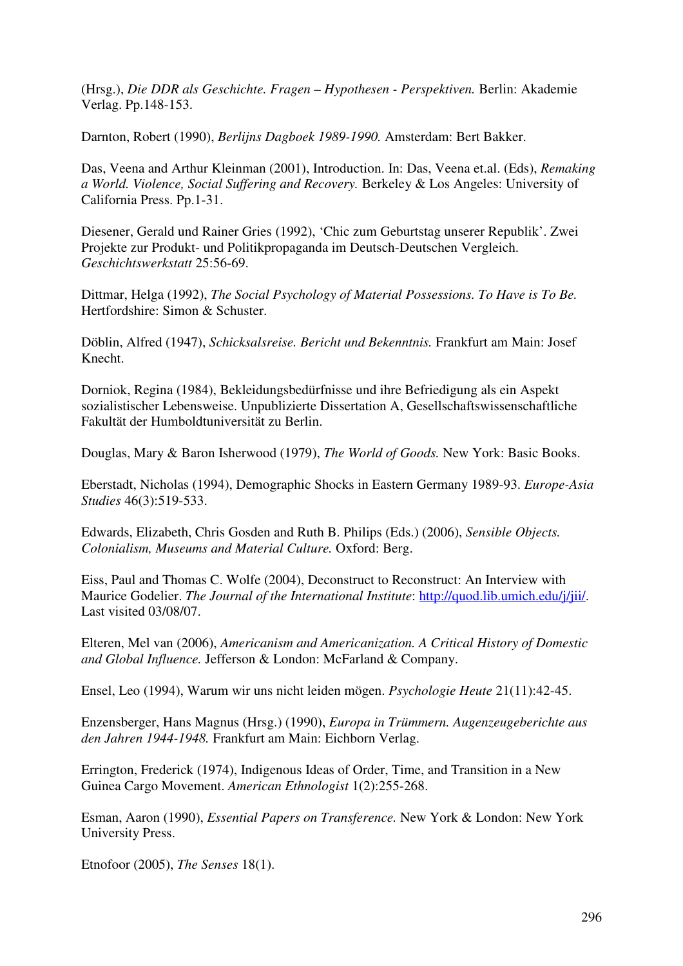(Hrsg.), *Die DDR als Geschichte. Fragen – Hypothesen - Perspektiven.* Berlin: Akademie Verlag. Pp.148-153.

Darnton, Robert (1990), *Berlijns Dagboek 1989-1990.* Amsterdam: Bert Bakker.

Das, Veena and Arthur Kleinman (2001), Introduction. In: Das, Veena et.al. (Eds), *Remaking a World. Violence, Social Suffering and Recovery.* Berkeley & Los Angeles: University of California Press. Pp.1-31.

Diesener, Gerald und Rainer Gries (1992), 'Chic zum Geburtstag unserer Republik'. Zwei Projekte zur Produkt- und Politikpropaganda im Deutsch-Deutschen Vergleich. *Geschichtswerkstatt* 25:56-69.

Dittmar, Helga (1992), *The Social Psychology of Material Possessions. To Have is To Be.* Hertfordshire: Simon & Schuster.

Döblin, Alfred (1947), *Schicksalsreise. Bericht und Bekenntnis.* Frankfurt am Main: Josef Knecht.

Dorniok, Regina (1984), Bekleidungsbedürfnisse und ihre Befriedigung als ein Aspekt sozialistischer Lebensweise. Unpublizierte Dissertation A, Gesellschaftswissenschaftliche Fakultät der Humboldtuniversität zu Berlin.

Douglas, Mary & Baron Isherwood (1979), *The World of Goods.* New York: Basic Books.

Eberstadt, Nicholas (1994), Demographic Shocks in Eastern Germany 1989-93. *Europe-Asia Studies* 46(3):519-533.

Edwards, Elizabeth, Chris Gosden and Ruth B. Philips (Eds.) (2006), *Sensible Objects. Colonialism, Museums and Material Culture.* Oxford: Berg.

Eiss, Paul and Thomas C. Wolfe (2004), Deconstruct to Reconstruct: An Interview with Maurice Godelier. *The Journal of the International Institute*: http://quod.lib.umich.edu/j/jii/. Last visited 03/08/07.

Elteren, Mel van (2006), *Americanism and Americanization. A Critical History of Domestic and Global Influence.* Jefferson & London: McFarland & Company.

Ensel, Leo (1994), Warum wir uns nicht leiden mögen. *Psychologie Heute* 21(11):42-45.

Enzensberger, Hans Magnus (Hrsg.) (1990), *Europa in Trümmern. Augenzeugeberichte aus den Jahren 1944-1948.* Frankfurt am Main: Eichborn Verlag.

Errington, Frederick (1974), Indigenous Ideas of Order, Time, and Transition in a New Guinea Cargo Movement. *American Ethnologist* 1(2):255-268.

Esman, Aaron (1990), *Essential Papers on Transference.* New York & London: New York University Press.

Etnofoor (2005), *The Senses* 18(1).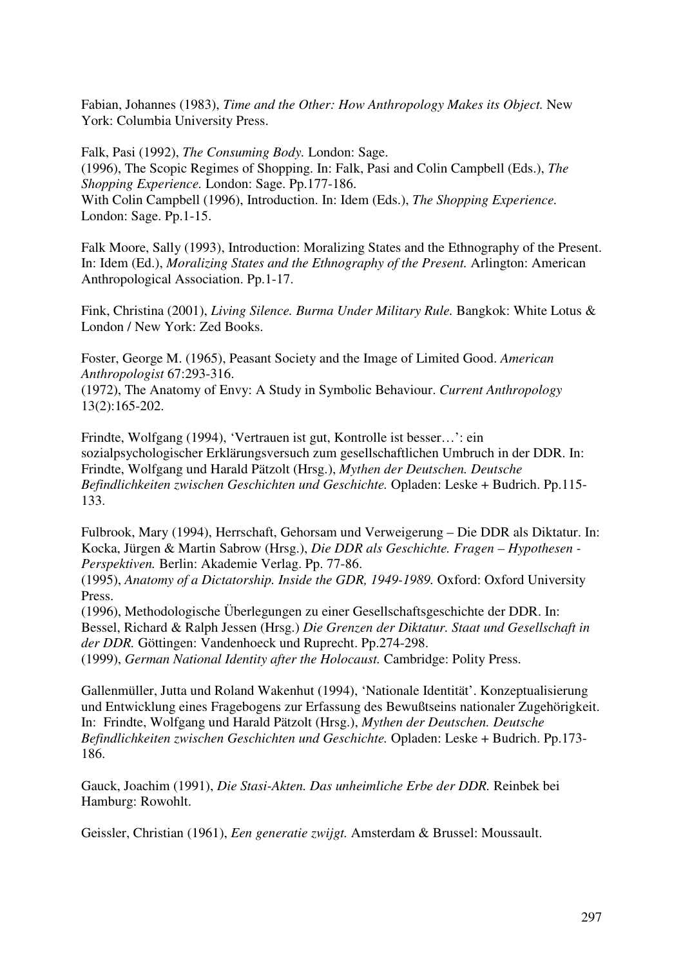Fabian, Johannes (1983), *Time and the Other: How Anthropology Makes its Object.* New York: Columbia University Press.

Falk, Pasi (1992), *The Consuming Body.* London: Sage. (1996), The Scopic Regimes of Shopping. In: Falk, Pasi and Colin Campbell (Eds.), *The Shopping Experience.* London: Sage. Pp.177-186. With Colin Campbell (1996), Introduction. In: Idem (Eds.), *The Shopping Experience.* London: Sage. Pp.1-15.

Falk Moore, Sally (1993), Introduction: Moralizing States and the Ethnography of the Present. In: Idem (Ed.), *Moralizing States and the Ethnography of the Present.* Arlington: American Anthropological Association. Pp.1-17.

Fink, Christina (2001), *Living Silence. Burma Under Military Rule.* Bangkok: White Lotus & London / New York: Zed Books.

Foster, George M. (1965), Peasant Society and the Image of Limited Good. *American Anthropologist* 67:293-316.

(1972), The Anatomy of Envy: A Study in Symbolic Behaviour. *Current Anthropology* 13(2):165-202.

Frindte, Wolfgang (1994), 'Vertrauen ist gut, Kontrolle ist besser…': ein sozialpsychologischer Erklärungsversuch zum gesellschaftlichen Umbruch in der DDR. In: Frindte, Wolfgang und Harald Pätzolt (Hrsg.), *Mythen der Deutschen. Deutsche Befindlichkeiten zwischen Geschichten und Geschichte.* Opladen: Leske + Budrich. Pp.115- 133.

Fulbrook, Mary (1994), Herrschaft, Gehorsam und Verweigerung – Die DDR als Diktatur. In: Kocka, Jürgen & Martin Sabrow (Hrsg.), *Die DDR als Geschichte. Fragen – Hypothesen - Perspektiven.* Berlin: Akademie Verlag. Pp. 77-86.

(1995), *Anatomy of a Dictatorship. Inside the GDR, 1949-1989.* Oxford: Oxford University Press.

(1996), Methodologische Überlegungen zu einer Gesellschaftsgeschichte der DDR. In: Bessel, Richard & Ralph Jessen (Hrsg.) *Die Grenzen der Diktatur. Staat und Gesellschaft in der DDR.* Göttingen: Vandenhoeck und Ruprecht. Pp.274-298.

(1999), *German National Identity after the Holocaust.* Cambridge: Polity Press.

Gallenmüller, Jutta und Roland Wakenhut (1994), 'Nationale Identität'. Konzeptualisierung und Entwicklung eines Fragebogens zur Erfassung des Bewußtseins nationaler Zugehörigkeit. In: Frindte, Wolfgang und Harald Pätzolt (Hrsg.), *Mythen der Deutschen. Deutsche Befindlichkeiten zwischen Geschichten und Geschichte.* Opladen: Leske + Budrich. Pp.173- 186.

Gauck, Joachim (1991), *Die Stasi-Akten. Das unheimliche Erbe der DDR.* Reinbek bei Hamburg: Rowohlt.

Geissler, Christian (1961), *Een generatie zwijgt.* Amsterdam & Brussel: Moussault.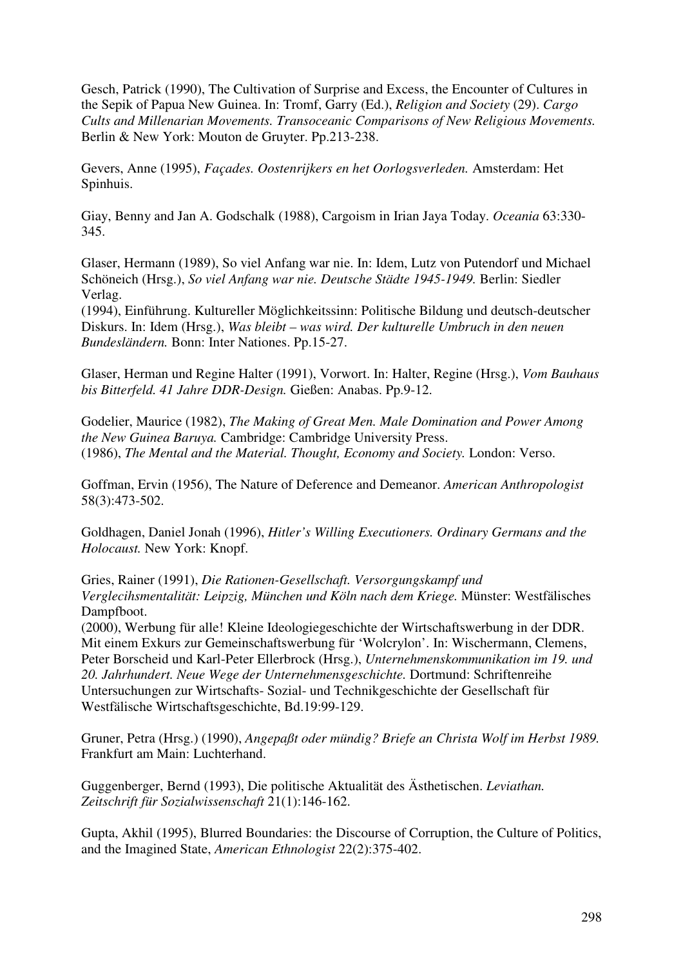Gesch, Patrick (1990), The Cultivation of Surprise and Excess, the Encounter of Cultures in the Sepik of Papua New Guinea. In: Tromf, Garry (Ed.), *Religion and Society* (29). *Cargo Cults and Millenarian Movements. Transoceanic Comparisons of New Religious Movements.*  Berlin & New York: Mouton de Gruyter. Pp.213-238.

Gevers, Anne (1995), *Façades. Oostenrijkers en het Oorlogsverleden.* Amsterdam: Het Spinhuis.

Giay, Benny and Jan A. Godschalk (1988), Cargoism in Irian Jaya Today. *Oceania* 63:330- 345.

Glaser, Hermann (1989), So viel Anfang war nie. In: Idem, Lutz von Putendorf und Michael Schöneich (Hrsg.), *So viel Anfang war nie. Deutsche Städte 1945-1949.* Berlin: Siedler Verlag.

(1994), Einführung. Kultureller Möglichkeitssinn: Politische Bildung und deutsch-deutscher Diskurs. In: Idem (Hrsg.), *Was bleibt – was wird. Der kulturelle Umbruch in den neuen Bundesländern.* Bonn: Inter Nationes. Pp.15-27.

Glaser, Herman und Regine Halter (1991), Vorwort. In: Halter, Regine (Hrsg.), *Vom Bauhaus bis Bitterfeld. 41 Jahre DDR-Design.* Gießen: Anabas. Pp.9-12.

Godelier, Maurice (1982), *The Making of Great Men. Male Domination and Power Among the New Guinea Baruya.* Cambridge: Cambridge University Press. (1986), *The Mental and the Material. Thought, Economy and Society.* London: Verso.

Goffman, Ervin (1956), The Nature of Deference and Demeanor. *American Anthropologist* 58(3):473-502.

Goldhagen, Daniel Jonah (1996), *Hitler's Willing Executioners. Ordinary Germans and the Holocaust.* New York: Knopf.

Gries, Rainer (1991), *Die Rationen-Gesellschaft. Versorgungskampf und Verglecihsmentalität: Leipzig, München und Köln nach dem Kriege.* Münster: Westfälisches Dampfboot.

(2000), Werbung für alle! Kleine Ideologiegeschichte der Wirtschaftswerbung in der DDR. Mit einem Exkurs zur Gemeinschaftswerbung für 'Wolcrylon'. In: Wischermann, Clemens, Peter Borscheid und Karl-Peter Ellerbrock (Hrsg.), *Unternehmenskommunikation im 19. und 20. Jahrhundert. Neue Wege der Unternehmensgeschichte.* Dortmund: Schriftenreihe Untersuchungen zur Wirtschafts- Sozial- und Technikgeschichte der Gesellschaft für Westfälische Wirtschaftsgeschichte, Bd.19:99-129.

Gruner, Petra (Hrsg.) (1990), *Angepaßt oder mündig? Briefe an Christa Wolf im Herbst 1989.* Frankfurt am Main: Luchterhand.

Guggenberger, Bernd (1993), Die politische Aktualität des Ästhetischen. *Leviathan. Zeitschrift für Sozialwissenschaft* 21(1):146-162.

Gupta, Akhil (1995), Blurred Boundaries: the Discourse of Corruption, the Culture of Politics, and the Imagined State, *American Ethnologist* 22(2):375-402.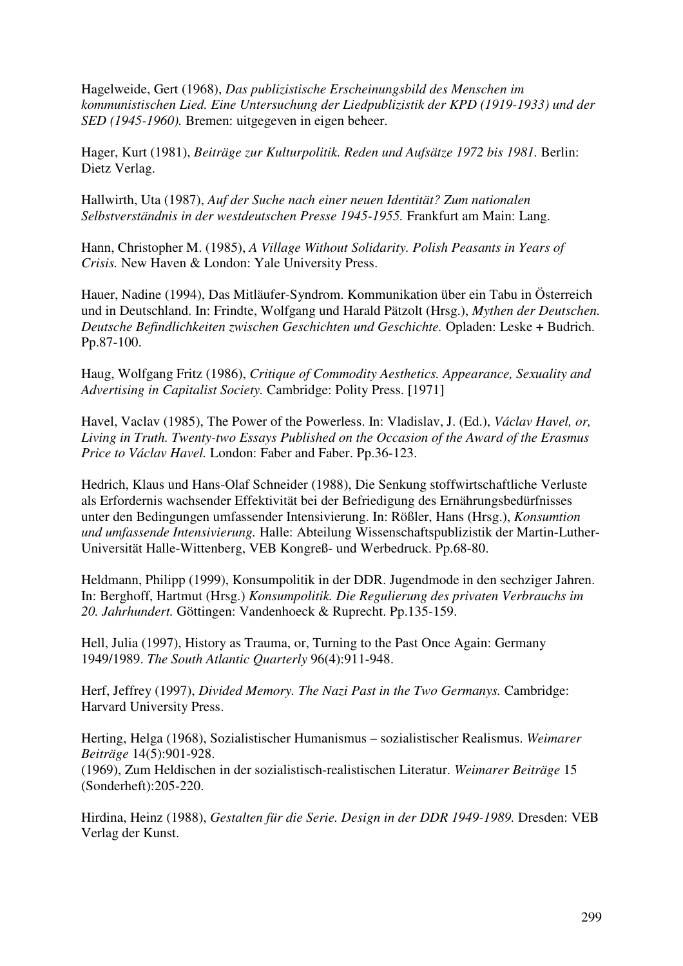Hagelweide, Gert (1968), *Das publizistische Erscheinungsbild des Menschen im kommunistischen Lied. Eine Untersuchung der Liedpublizistik der KPD (1919-1933) und der SED (1945-1960).* Bremen: uitgegeven in eigen beheer.

Hager, Kurt (1981), *Beiträge zur Kulturpolitik. Reden und Aufsätze 1972 bis 1981.* Berlin: Dietz Verlag.

Hallwirth, Uta (1987), *Auf der Suche nach einer neuen Identität? Zum nationalen Selbstverständnis in der westdeutschen Presse 1945-1955.* Frankfurt am Main: Lang.

Hann, Christopher M. (1985), *A Village Without Solidarity. Polish Peasants in Years of Crisis.* New Haven & London: Yale University Press.

Hauer, Nadine (1994), Das Mitläufer-Syndrom. Kommunikation über ein Tabu in Österreich und in Deutschland. In: Frindte, Wolfgang und Harald Pätzolt (Hrsg.), *Mythen der Deutschen. Deutsche Befindlichkeiten zwischen Geschichten und Geschichte.* Opladen: Leske + Budrich. Pp.87-100.

Haug, Wolfgang Fritz (1986), *Critique of Commodity Aesthetics. Appearance, Sexuality and Advertising in Capitalist Society.* Cambridge: Polity Press. [1971]

Havel, Vaclav (1985), The Power of the Powerless. In: Vladislav, J. (Ed.), *Václav Havel, or, Living in Truth. Twenty-two Essays Published on the Occasion of the Award of the Erasmus Price to Václav Havel.* London: Faber and Faber. Pp.36-123.

Hedrich, Klaus und Hans-Olaf Schneider (1988), Die Senkung stoffwirtschaftliche Verluste als Erfordernis wachsender Effektivität bei der Befriedigung des Ernährungsbedürfnisses unter den Bedingungen umfassender Intensivierung. In: Rößler, Hans (Hrsg.), *Konsumtion und umfassende Intensivierung.* Halle: Abteilung Wissenschaftspublizistik der Martin-Luther-Universität Halle-Wittenberg, VEB Kongreß- und Werbedruck. Pp.68-80.

Heldmann, Philipp (1999), Konsumpolitik in der DDR. Jugendmode in den sechziger Jahren. In: Berghoff, Hartmut (Hrsg.) *Konsumpolitik. Die Regulierung des privaten Verbrauchs im 20. Jahrhundert.* Göttingen: Vandenhoeck & Ruprecht. Pp.135-159.

Hell, Julia (1997), History as Trauma, or, Turning to the Past Once Again: Germany 1949/1989. *The South Atlantic Quarterly* 96(4):911-948.

Herf, Jeffrey (1997), *Divided Memory. The Nazi Past in the Two Germanys.* Cambridge: Harvard University Press.

Herting, Helga (1968), Sozialistischer Humanismus – sozialistischer Realismus. *Weimarer Beiträge* 14(5):901-928.

(1969), Zum Heldischen in der sozialistisch-realistischen Literatur. *Weimarer Beiträge* 15 (Sonderheft):205-220.

Hirdina, Heinz (1988), *Gestalten für die Serie. Design in der DDR 1949-1989.* Dresden: VEB Verlag der Kunst.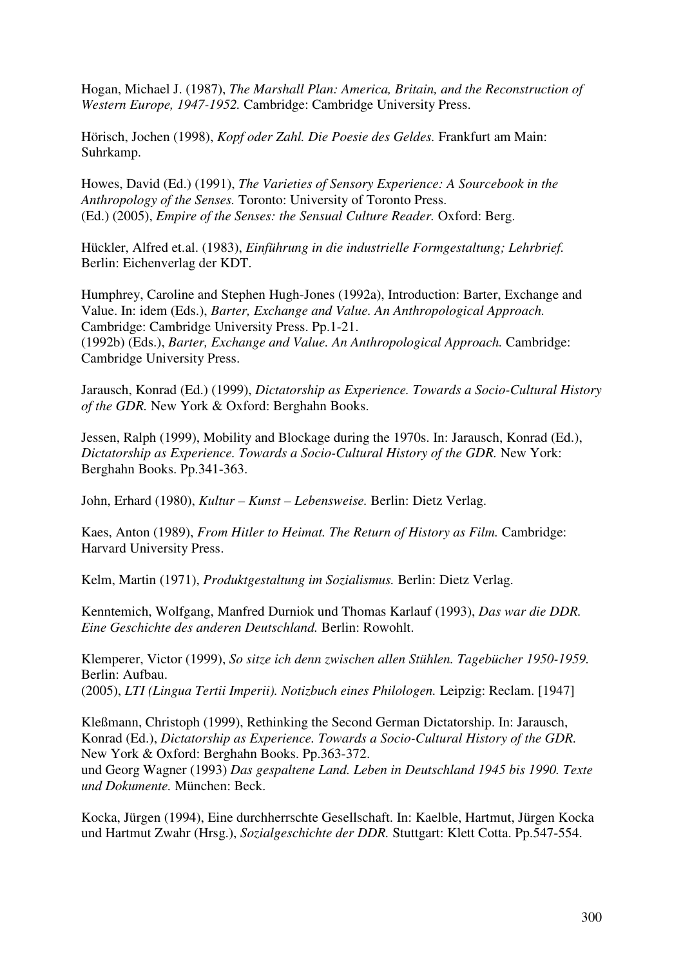Hogan, Michael J. (1987), *The Marshall Plan: America, Britain, and the Reconstruction of Western Europe, 1947-1952.* Cambridge: Cambridge University Press.

Hörisch, Jochen (1998), *Kopf oder Zahl. Die Poesie des Geldes.* Frankfurt am Main: Suhrkamp.

Howes, David (Ed.) (1991), *The Varieties of Sensory Experience: A Sourcebook in the Anthropology of the Senses.* Toronto: University of Toronto Press. (Ed.) (2005), *Empire of the Senses: the Sensual Culture Reader.* Oxford: Berg.

Hückler, Alfred et.al. (1983), *Einführung in die industrielle Formgestaltung; Lehrbrief.* Berlin: Eichenverlag der KDT.

Humphrey, Caroline and Stephen Hugh-Jones (1992a), Introduction: Barter, Exchange and Value. In: idem (Eds.), *Barter, Exchange and Value. An Anthropological Approach.* Cambridge: Cambridge University Press. Pp.1-21. (1992b) (Eds.), *Barter, Exchange and Value. An Anthropological Approach.* Cambridge: Cambridge University Press.

Jarausch, Konrad (Ed.) (1999), *Dictatorship as Experience. Towards a Socio-Cultural History of the GDR.* New York & Oxford: Berghahn Books.

Jessen, Ralph (1999), Mobility and Blockage during the 1970s. In: Jarausch, Konrad (Ed.), *Dictatorship as Experience. Towards a Socio-Cultural History of the GDR.* New York: Berghahn Books. Pp.341-363.

John, Erhard (1980), *Kultur – Kunst – Lebensweise.* Berlin: Dietz Verlag.

Kaes, Anton (1989), *From Hitler to Heimat. The Return of History as Film.* Cambridge: Harvard University Press.

Kelm, Martin (1971), *Produktgestaltung im Sozialismus.* Berlin: Dietz Verlag.

Kenntemich, Wolfgang, Manfred Durniok und Thomas Karlauf (1993), *Das war die DDR. Eine Geschichte des anderen Deutschland.* Berlin: Rowohlt.

Klemperer, Victor (1999), *So sitze ich denn zwischen allen Stühlen. Tagebücher 1950-1959.* Berlin: Aufbau. (2005), *LTI (Lingua Tertii Imperii). Notizbuch eines Philologen.* Leipzig: Reclam. [1947]

Kleßmann, Christoph (1999), Rethinking the Second German Dictatorship. In: Jarausch, Konrad (Ed.), *Dictatorship as Experience. Towards a Socio-Cultural History of the GDR.* New York & Oxford: Berghahn Books. Pp.363-372. und Georg Wagner (1993) *Das gespaltene Land. Leben in Deutschland 1945 bis 1990. Texte und Dokumente.* München: Beck.

Kocka, Jürgen (1994), Eine durchherrschte Gesellschaft. In: Kaelble, Hartmut, Jürgen Kocka und Hartmut Zwahr (Hrsg.), *Sozialgeschichte der DDR.* Stuttgart: Klett Cotta. Pp.547-554.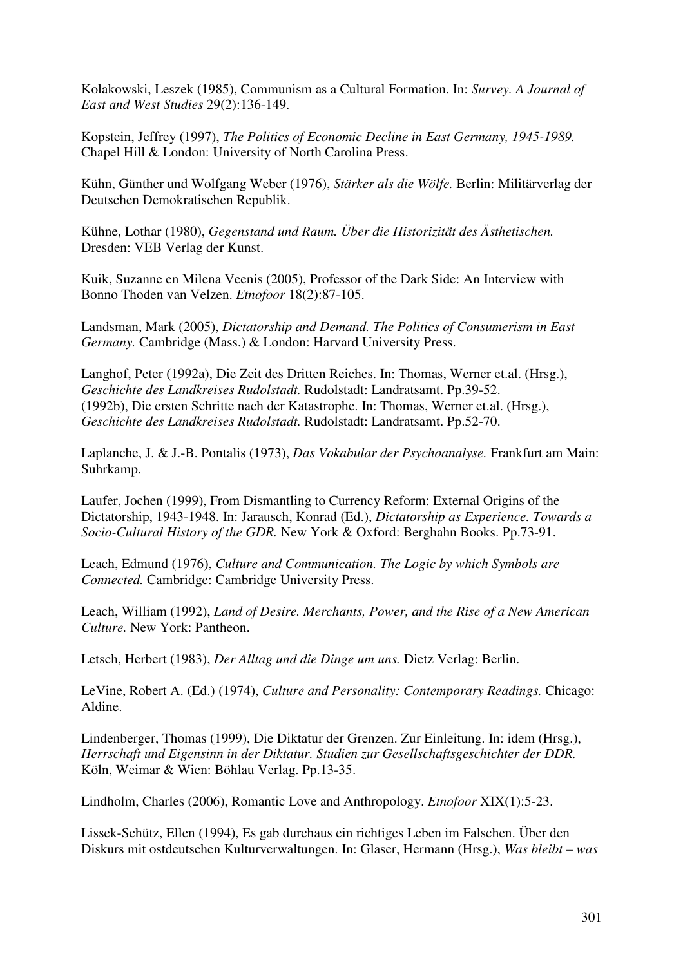Kolakowski, Leszek (1985), Communism as a Cultural Formation. In: *Survey. A Journal of East and West Studies* 29(2):136-149.

Kopstein, Jeffrey (1997), *The Politics of Economic Decline in East Germany, 1945-1989.* Chapel Hill & London: University of North Carolina Press.

Kühn, Günther und Wolfgang Weber (1976), *Stärker als die Wölfe.* Berlin: Militärverlag der Deutschen Demokratischen Republik.

Kühne, Lothar (1980), *Gegenstand und Raum. Über die Historizität des Ästhetischen.* Dresden: VEB Verlag der Kunst.

Kuik, Suzanne en Milena Veenis (2005), Professor of the Dark Side: An Interview with Bonno Thoden van Velzen. *Etnofoor* 18(2):87-105.

Landsman, Mark (2005), *Dictatorship and Demand. The Politics of Consumerism in East Germany.* Cambridge (Mass.) & London: Harvard University Press.

Langhof, Peter (1992a), Die Zeit des Dritten Reiches. In: Thomas, Werner et.al. (Hrsg.), *Geschichte des Landkreises Rudolstadt.* Rudolstadt: Landratsamt. Pp.39-52. (1992b), Die ersten Schritte nach der Katastrophe. In: Thomas, Werner et.al. (Hrsg.), *Geschichte des Landkreises Rudolstadt.* Rudolstadt: Landratsamt. Pp.52-70.

Laplanche, J. & J.-B. Pontalis (1973), *Das Vokabular der Psychoanalyse.* Frankfurt am Main: Suhrkamp.

Laufer, Jochen (1999), From Dismantling to Currency Reform: External Origins of the Dictatorship, 1943-1948. In: Jarausch, Konrad (Ed.), *Dictatorship as Experience. Towards a Socio-Cultural History of the GDR.* New York & Oxford: Berghahn Books. Pp.73-91.

Leach, Edmund (1976), *Culture and Communication. The Logic by which Symbols are Connected.* Cambridge: Cambridge University Press.

Leach, William (1992), *Land of Desire. Merchants, Power, and the Rise of a New American Culture.* New York: Pantheon.

Letsch, Herbert (1983), *Der Alltag und die Dinge um uns.* Dietz Verlag: Berlin.

LeVine, Robert A. (Ed.) (1974), *Culture and Personality: Contemporary Readings.* Chicago: Aldine.

Lindenberger, Thomas (1999), Die Diktatur der Grenzen. Zur Einleitung. In: idem (Hrsg.), *Herrschaft und Eigensinn in der Diktatur. Studien zur Gesellschaftsgeschichter der DDR.* Köln, Weimar & Wien: Böhlau Verlag. Pp.13-35.

Lindholm, Charles (2006), Romantic Love and Anthropology. *Etnofoor* XIX(1):5-23.

Lissek-Schütz, Ellen (1994), Es gab durchaus ein richtiges Leben im Falschen. Über den Diskurs mit ostdeutschen Kulturverwaltungen. In: Glaser, Hermann (Hrsg.), *Was bleibt – was*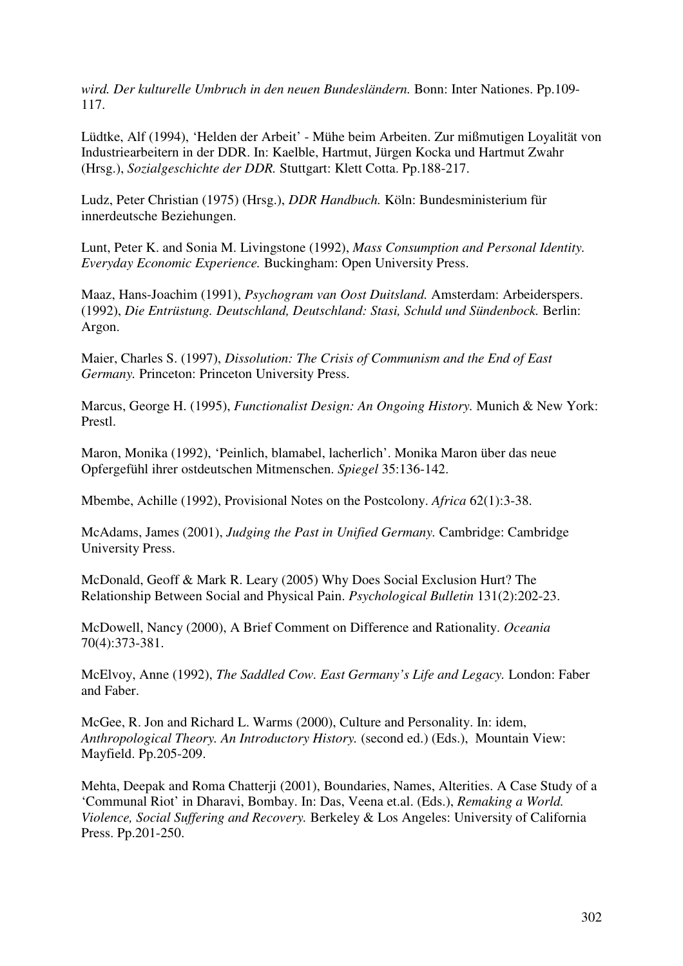*wird. Der kulturelle Umbruch in den neuen Bundesländern.* Bonn: Inter Nationes. Pp.109- 117.

Lüdtke, Alf (1994), 'Helden der Arbeit' - Mühe beim Arbeiten. Zur mißmutigen Loyalität von Industriearbeitern in der DDR. In: Kaelble, Hartmut, Jürgen Kocka und Hartmut Zwahr (Hrsg.), *Sozialgeschichte der DDR.* Stuttgart: Klett Cotta. Pp.188-217.

Ludz, Peter Christian (1975) (Hrsg.), *DDR Handbuch.* Köln: Bundesministerium für innerdeutsche Beziehungen.

Lunt, Peter K. and Sonia M. Livingstone (1992), *Mass Consumption and Personal Identity. Everyday Economic Experience.* Buckingham: Open University Press.

Maaz, Hans-Joachim (1991), *Psychogram van Oost Duitsland.* Amsterdam: Arbeiderspers. (1992), *Die Entrüstung. Deutschland, Deutschland: Stasi, Schuld und Sündenbock.* Berlin: Argon.

Maier, Charles S. (1997), *Dissolution: The Crisis of Communism and the End of East Germany.* Princeton: Princeton University Press.

Marcus, George H. (1995), *Functionalist Design: An Ongoing History.* Munich & New York: Prestl.

Maron, Monika (1992), 'Peinlich, blamabel, lacherlich'. Monika Maron über das neue Opfergefühl ihrer ostdeutschen Mitmenschen. *Spiegel* 35:136-142.

Mbembe, Achille (1992), Provisional Notes on the Postcolony. *Africa* 62(1):3-38.

McAdams, James (2001), *Judging the Past in Unified Germany.* Cambridge: Cambridge University Press.

McDonald, Geoff & Mark R. Leary (2005) Why Does Social Exclusion Hurt? The Relationship Between Social and Physical Pain. *Psychological Bulletin* 131(2):202-23.

McDowell, Nancy (2000), A Brief Comment on Difference and Rationality. *Oceania* 70(4):373-381.

McElvoy, Anne (1992), *The Saddled Cow. East Germany's Life and Legacy.* London: Faber and Faber.

McGee, R. Jon and Richard L. Warms (2000), Culture and Personality. In: idem, *Anthropological Theory. An Introductory History.* (second ed.) (Eds.), Mountain View: Mayfield. Pp.205-209.

Mehta, Deepak and Roma Chatterji (2001), Boundaries, Names, Alterities. A Case Study of a 'Communal Riot' in Dharavi, Bombay. In: Das, Veena et.al. (Eds.), *Remaking a World. Violence, Social Suffering and Recovery.* Berkeley & Los Angeles: University of California Press. Pp.201-250.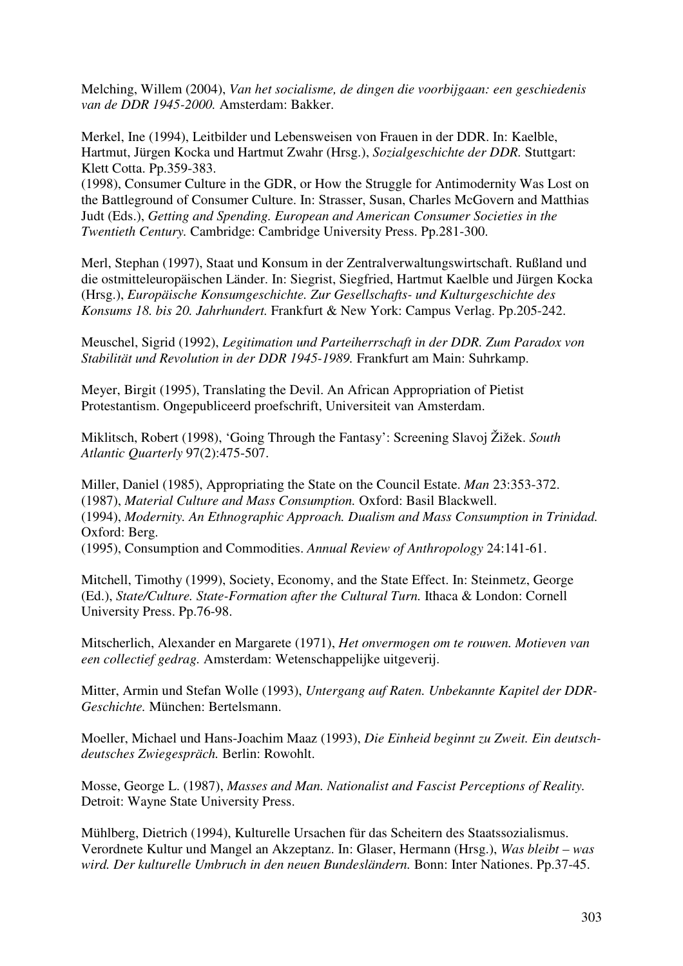Melching, Willem (2004), *Van het socialisme, de dingen die voorbijgaan: een geschiedenis van de DDR 1945-2000.* Amsterdam: Bakker.

Merkel, Ine (1994), Leitbilder und Lebensweisen von Frauen in der DDR. In: Kaelble, Hartmut, Jürgen Kocka und Hartmut Zwahr (Hrsg.), *Sozialgeschichte der DDR.* Stuttgart: Klett Cotta. Pp.359-383.

(1998), Consumer Culture in the GDR, or How the Struggle for Antimodernity Was Lost on the Battleground of Consumer Culture. In: Strasser, Susan, Charles McGovern and Matthias Judt (Eds.), *Getting and Spending. European and American Consumer Societies in the Twentieth Century.* Cambridge: Cambridge University Press. Pp.281-300.

Merl, Stephan (1997), Staat und Konsum in der Zentralverwaltungswirtschaft. Rußland und die ostmitteleuropäischen Länder. In: Siegrist, Siegfried, Hartmut Kaelble und Jürgen Kocka (Hrsg.), *Europäische Konsumgeschichte. Zur Gesellschafts- und Kulturgeschichte des Konsums 18. bis 20. Jahrhundert.* Frankfurt & New York: Campus Verlag. Pp.205-242.

Meuschel, Sigrid (1992), *Legitimation und Parteiherrschaft in der DDR. Zum Paradox von Stabilität und Revolution in der DDR 1945-1989.* Frankfurt am Main: Suhrkamp.

Meyer, Birgit (1995), Translating the Devil. An African Appropriation of Pietist Protestantism. Ongepubliceerd proefschrift, Universiteit van Amsterdam.

Miklitsch, Robert (1998), 'Going Through the Fantasy': Screening Slavoj Žižek. *South Atlantic Quarterly* 97(2):475-507.

Miller, Daniel (1985), Appropriating the State on the Council Estate. *Man* 23:353-372. (1987), *Material Culture and Mass Consumption.* Oxford: Basil Blackwell. (1994), *Modernity. An Ethnographic Approach. Dualism and Mass Consumption in Trinidad.* Oxford: Berg. (1995), Consumption and Commodities. *Annual Review of Anthropology* 24:141-61.

Mitchell, Timothy (1999), Society, Economy, and the State Effect. In: Steinmetz, George (Ed.), *State/Culture. State-Formation after the Cultural Turn.* Ithaca & London: Cornell University Press. Pp.76-98.

Mitscherlich, Alexander en Margarete (1971), *Het onvermogen om te rouwen. Motieven van een collectief gedrag.* Amsterdam: Wetenschappelijke uitgeverij.

Mitter, Armin und Stefan Wolle (1993), *Untergang auf Raten. Unbekannte Kapitel der DDR-Geschichte.* München: Bertelsmann.

Moeller, Michael und Hans-Joachim Maaz (1993), *Die Einheid beginnt zu Zweit. Ein deutschdeutsches Zwiegespräch.* Berlin: Rowohlt.

Mosse, George L. (1987), *Masses and Man. Nationalist and Fascist Perceptions of Reality.* Detroit: Wayne State University Press.

Mühlberg, Dietrich (1994), Kulturelle Ursachen für das Scheitern des Staatssozialismus. Verordnete Kultur und Mangel an Akzeptanz. In: Glaser, Hermann (Hrsg.), *Was bleibt – was wird. Der kulturelle Umbruch in den neuen Bundesländern.* Bonn: Inter Nationes. Pp.37-45.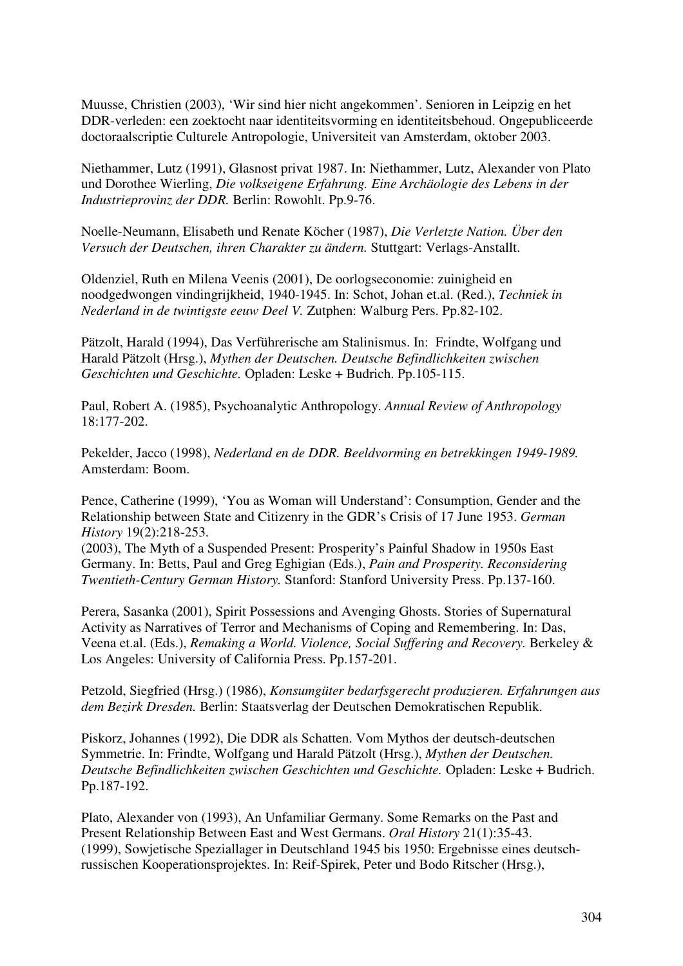Muusse, Christien (2003), 'Wir sind hier nicht angekommen'. Senioren in Leipzig en het DDR-verleden: een zoektocht naar identiteitsvorming en identiteitsbehoud. Ongepubliceerde doctoraalscriptie Culturele Antropologie, Universiteit van Amsterdam, oktober 2003.

Niethammer, Lutz (1991), Glasnost privat 1987. In: Niethammer, Lutz, Alexander von Plato und Dorothee Wierling, *Die volkseigene Erfahrung. Eine Archäologie des Lebens in der Industrieprovinz der DDR.* Berlin: Rowohlt. Pp.9-76.

Noelle-Neumann, Elisabeth und Renate Köcher (1987), *Die Verletzte Nation. Über den Versuch der Deutschen, ihren Charakter zu ändern.* Stuttgart: Verlags-Anstallt.

Oldenziel, Ruth en Milena Veenis (2001), De oorlogseconomie: zuinigheid en noodgedwongen vindingrijkheid, 1940-1945. In: Schot, Johan et.al. (Red.), *Techniek in Nederland in de twintigste eeuw Deel V.* Zutphen: Walburg Pers. Pp.82-102.

Pätzolt, Harald (1994), Das Verführerische am Stalinismus. In: Frindte, Wolfgang und Harald Pätzolt (Hrsg.), *Mythen der Deutschen. Deutsche Befindlichkeiten zwischen Geschichten und Geschichte.* Opladen: Leske + Budrich. Pp.105-115.

Paul, Robert A. (1985), Psychoanalytic Anthropology. *Annual Review of Anthropology* 18:177-202.

Pekelder, Jacco (1998), *Nederland en de DDR. Beeldvorming en betrekkingen 1949-1989.* Amsterdam: Boom.

Pence, Catherine (1999), 'You as Woman will Understand': Consumption, Gender and the Relationship between State and Citizenry in the GDR's Crisis of 17 June 1953. *German History* 19(2):218-253.

(2003), The Myth of a Suspended Present: Prosperity's Painful Shadow in 1950s East Germany. In: Betts, Paul and Greg Eghigian (Eds.), *Pain and Prosperity. Reconsidering Twentieth-Century German History.* Stanford: Stanford University Press. Pp.137-160.

Perera, Sasanka (2001), Spirit Possessions and Avenging Ghosts. Stories of Supernatural Activity as Narratives of Terror and Mechanisms of Coping and Remembering. In: Das, Veena et.al. (Eds.), *Remaking a World. Violence, Social Suffering and Recovery.* Berkeley & Los Angeles: University of California Press. Pp.157-201.

Petzold, Siegfried (Hrsg.) (1986), *Konsumgüter bedarfsgerecht produzieren. Erfahrungen aus dem Bezirk Dresden.* Berlin: Staatsverlag der Deutschen Demokratischen Republik.

Piskorz, Johannes (1992), Die DDR als Schatten. Vom Mythos der deutsch-deutschen Symmetrie. In: Frindte, Wolfgang und Harald Pätzolt (Hrsg.), *Mythen der Deutschen. Deutsche Befindlichkeiten zwischen Geschichten und Geschichte.* Opladen: Leske + Budrich. Pp.187-192.

Plato, Alexander von (1993), An Unfamiliar Germany. Some Remarks on the Past and Present Relationship Between East and West Germans. *Oral History* 21(1):35-43. (1999), Sowjetische Speziallager in Deutschland 1945 bis 1950: Ergebnisse eines deutschrussischen Kooperationsprojektes. In: Reif-Spirek, Peter und Bodo Ritscher (Hrsg.),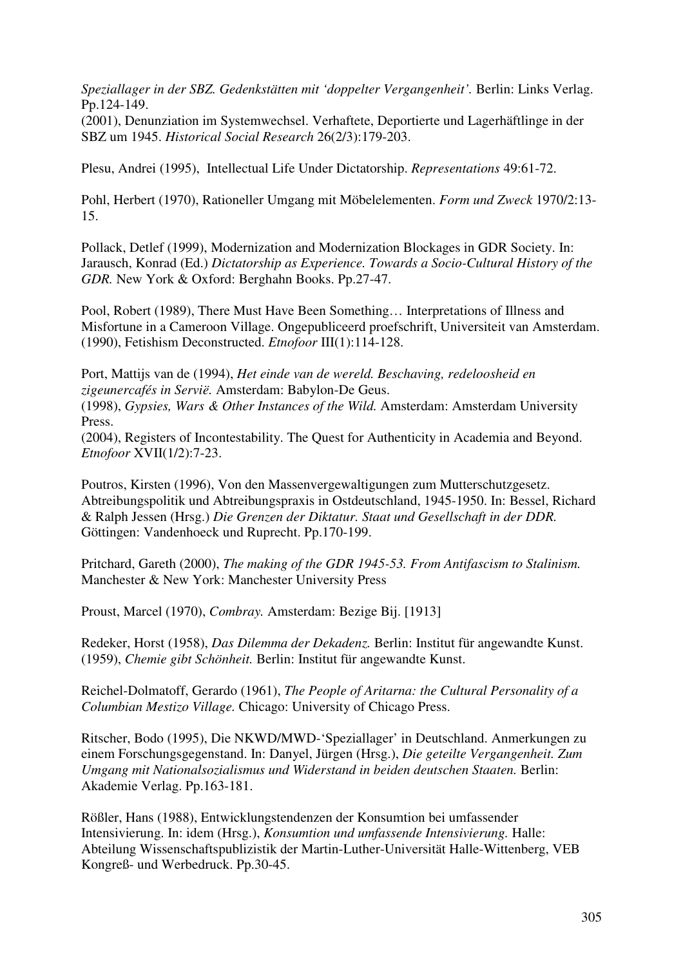*Speziallager in der SBZ. Gedenkstätten mit 'doppelter Vergangenheit'.* Berlin: Links Verlag. Pp.124-149.

(2001), Denunziation im Systemwechsel. Verhaftete, Deportierte und Lagerhäftlinge in der SBZ um 1945. *Historical Social Research* 26(2/3):179-203.

Plesu, Andrei (1995), Intellectual Life Under Dictatorship. *Representations* 49:61-72.

Pohl, Herbert (1970), Rationeller Umgang mit Möbelelementen. *Form und Zweck* 1970/2:13- 15.

Pollack, Detlef (1999), Modernization and Modernization Blockages in GDR Society. In: Jarausch, Konrad (Ed.) *Dictatorship as Experience. Towards a Socio-Cultural History of the GDR.* New York & Oxford: Berghahn Books. Pp.27-47.

Pool, Robert (1989), There Must Have Been Something… Interpretations of Illness and Misfortune in a Cameroon Village. Ongepubliceerd proefschrift, Universiteit van Amsterdam. (1990), Fetishism Deconstructed. *Etnofoor* III(1):114-128.

Port, Mattijs van de (1994), *Het einde van de wereld. Beschaving, redeloosheid en zigeunercafés in Servië.* Amsterdam: Babylon-De Geus.

(1998), *Gypsies, Wars & Other Instances of the Wild.* Amsterdam: Amsterdam University Press.

(2004), Registers of Incontestability. The Quest for Authenticity in Academia and Beyond. *Etnofoor* XVII(1/2):7-23.

Poutros, Kirsten (1996), Von den Massenvergewaltigungen zum Mutterschutzgesetz. Abtreibungspolitik und Abtreibungspraxis in Ostdeutschland, 1945-1950. In: Bessel, Richard & Ralph Jessen (Hrsg.) *Die Grenzen der Diktatur. Staat und Gesellschaft in der DDR.*  Göttingen: Vandenhoeck und Ruprecht. Pp.170-199.

Pritchard, Gareth (2000), *The making of the GDR 1945-53. From Antifascism to Stalinism.* Manchester & New York: Manchester University Press

Proust, Marcel (1970), *Combray.* Amsterdam: Bezige Bij. [1913]

Redeker, Horst (1958), *Das Dilemma der Dekadenz.* Berlin: Institut für angewandte Kunst. (1959), *Chemie gibt Schönheit.* Berlin: Institut für angewandte Kunst.

Reichel-Dolmatoff, Gerardo (1961), *The People of Aritarna: the Cultural Personality of a Columbian Mestizo Village.* Chicago: University of Chicago Press.

Ritscher, Bodo (1995), Die NKWD/MWD-'Speziallager' in Deutschland. Anmerkungen zu einem Forschungsgegenstand. In: Danyel, Jürgen (Hrsg.), *Die geteilte Vergangenheit. Zum Umgang mit Nationalsozialismus und Widerstand in beiden deutschen Staaten.* Berlin: Akademie Verlag. Pp.163-181.

Rößler, Hans (1988), Entwicklungstendenzen der Konsumtion bei umfassender Intensivierung. In: idem (Hrsg.), *Konsumtion und umfassende Intensivierung.* Halle: Abteilung Wissenschaftspublizistik der Martin-Luther-Universität Halle-Wittenberg, VEB Kongreß- und Werbedruck. Pp.30-45.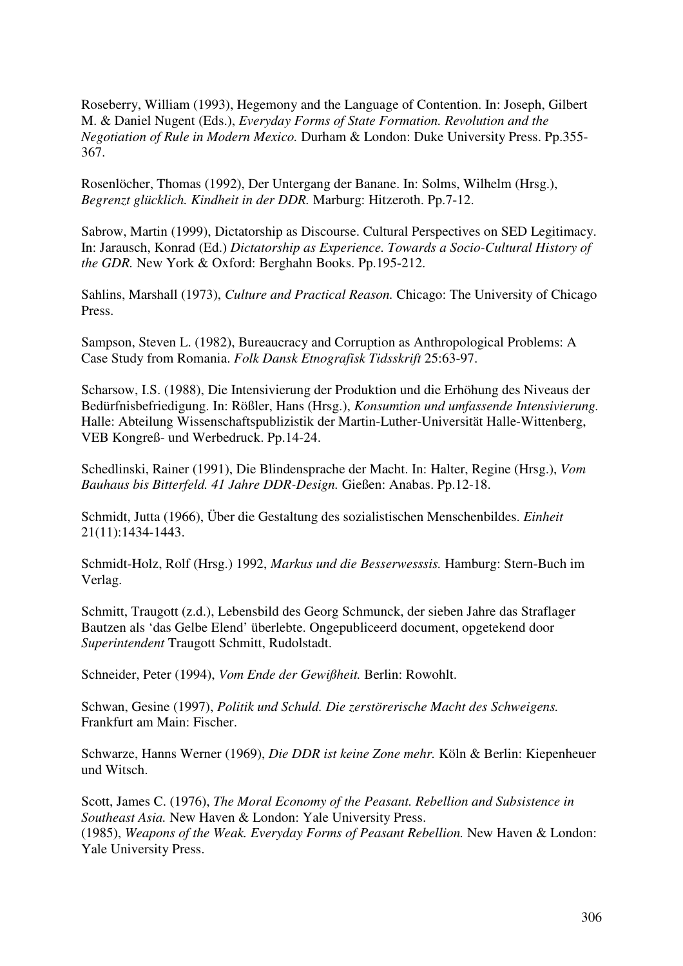Roseberry, William (1993), Hegemony and the Language of Contention. In: Joseph, Gilbert M. & Daniel Nugent (Eds.), *Everyday Forms of State Formation. Revolution and the Negotiation of Rule in Modern Mexico.* Durham & London: Duke University Press. Pp.355- 367.

Rosenlöcher, Thomas (1992), Der Untergang der Banane. In: Solms, Wilhelm (Hrsg.), *Begrenzt glücklich. Kindheit in der DDR.* Marburg: Hitzeroth. Pp.7-12.

Sabrow, Martin (1999), Dictatorship as Discourse. Cultural Perspectives on SED Legitimacy. In: Jarausch, Konrad (Ed.) *Dictatorship as Experience. Towards a Socio-Cultural History of the GDR.* New York & Oxford: Berghahn Books. Pp.195-212.

Sahlins, Marshall (1973), *Culture and Practical Reason.* Chicago: The University of Chicago Press.

Sampson, Steven L. (1982), Bureaucracy and Corruption as Anthropological Problems: A Case Study from Romania. *Folk Dansk Etnografisk Tidsskrift* 25:63-97.

Scharsow, I.S. (1988), Die Intensivierung der Produktion und die Erhöhung des Niveaus der Bedürfnisbefriedigung. In: Rößler, Hans (Hrsg.), *Konsumtion und umfassende Intensivierung.* Halle: Abteilung Wissenschaftspublizistik der Martin-Luther-Universität Halle-Wittenberg, VEB Kongreß- und Werbedruck. Pp.14-24.

Schedlinski, Rainer (1991), Die Blindensprache der Macht. In: Halter, Regine (Hrsg.), *Vom Bauhaus bis Bitterfeld. 41 Jahre DDR-Design.* Gießen: Anabas. Pp.12-18.

Schmidt, Jutta (1966), Über die Gestaltung des sozialistischen Menschenbildes. *Einheit* 21(11):1434-1443.

Schmidt-Holz, Rolf (Hrsg.) 1992, *Markus und die Besserwesssis.* Hamburg: Stern-Buch im Verlag.

Schmitt, Traugott (z.d.), Lebensbild des Georg Schmunck, der sieben Jahre das Straflager Bautzen als 'das Gelbe Elend' überlebte. Ongepubliceerd document, opgetekend door *Superintendent* Traugott Schmitt, Rudolstadt.

Schneider, Peter (1994), *Vom Ende der Gewißheit.* Berlin: Rowohlt.

Schwan, Gesine (1997), *Politik und Schuld. Die zerstörerische Macht des Schweigens.*  Frankfurt am Main: Fischer.

Schwarze, Hanns Werner (1969), *Die DDR ist keine Zone mehr.* Köln & Berlin: Kiepenheuer und Witsch.

Scott, James C. (1976), *The Moral Economy of the Peasant. Rebellion and Subsistence in Southeast Asia.* New Haven & London: Yale University Press. (1985), *Weapons of the Weak. Everyday Forms of Peasant Rebellion.* New Haven & London: Yale University Press.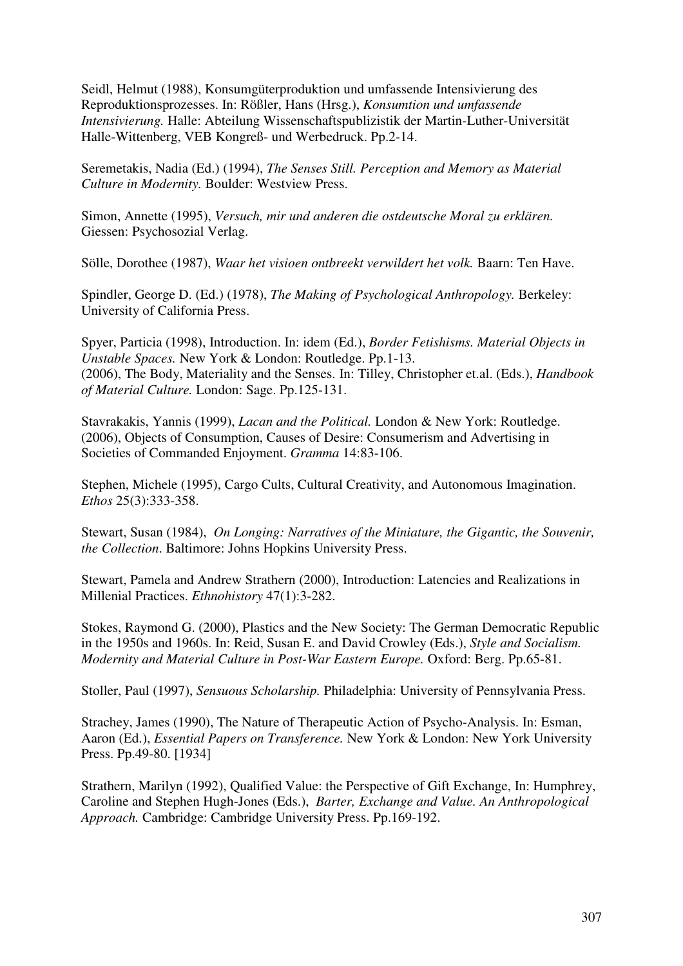Seidl, Helmut (1988), Konsumgüterproduktion und umfassende Intensivierung des Reproduktionsprozesses. In: Rößler, Hans (Hrsg.), *Konsumtion und umfassende Intensivierung.* Halle: Abteilung Wissenschaftspublizistik der Martin-Luther-Universität Halle-Wittenberg, VEB Kongreß- und Werbedruck. Pp.2-14.

Seremetakis, Nadia (Ed.) (1994), *The Senses Still. Perception and Memory as Material Culture in Modernity.* Boulder: Westview Press.

Simon, Annette (1995), *Versuch, mir und anderen die ostdeutsche Moral zu erklären.* Giessen: Psychosozial Verlag.

Sölle, Dorothee (1987), *Waar het visioen ontbreekt verwildert het volk.* Baarn: Ten Have.

Spindler, George D. (Ed.) (1978), *The Making of Psychological Anthropology.* Berkeley: University of California Press.

Spyer, Particia (1998), Introduction. In: idem (Ed.), *Border Fetishisms. Material Objects in Unstable Spaces.* New York & London: Routledge. Pp.1-13. (2006), The Body, Materiality and the Senses. In: Tilley, Christopher et.al. (Eds.), *Handbook of Material Culture.* London: Sage. Pp.125-131.

Stavrakakis, Yannis (1999), *Lacan and the Political.* London & New York: Routledge. (2006), Objects of Consumption, Causes of Desire: Consumerism and Advertising in Societies of Commanded Enjoyment. *Gramma* 14:83-106.

Stephen, Michele (1995), Cargo Cults, Cultural Creativity, and Autonomous Imagination. *Ethos* 25(3):333-358.

Stewart, Susan (1984), *On Longing: Narratives of the Miniature, the Gigantic, the Souvenir, the Collection*. Baltimore: Johns Hopkins University Press.

Stewart, Pamela and Andrew Strathern (2000), Introduction: Latencies and Realizations in Millenial Practices. *Ethnohistory* 47(1):3-282.

Stokes, Raymond G. (2000), Plastics and the New Society: The German Democratic Republic in the 1950s and 1960s. In: Reid, Susan E. and David Crowley (Eds.), *Style and Socialism. Modernity and Material Culture in Post-War Eastern Europe.* Oxford: Berg. Pp.65-81.

Stoller, Paul (1997), *Sensuous Scholarship.* Philadelphia: University of Pennsylvania Press.

Strachey, James (1990), The Nature of Therapeutic Action of Psycho-Analysis. In: Esman, Aaron (Ed.), *Essential Papers on Transference.* New York & London: New York University Press. Pp.49-80. [1934]

Strathern, Marilyn (1992), Qualified Value: the Perspective of Gift Exchange, In: Humphrey, Caroline and Stephen Hugh-Jones (Eds.), *Barter, Exchange and Value. An Anthropological Approach.* Cambridge: Cambridge University Press. Pp.169-192.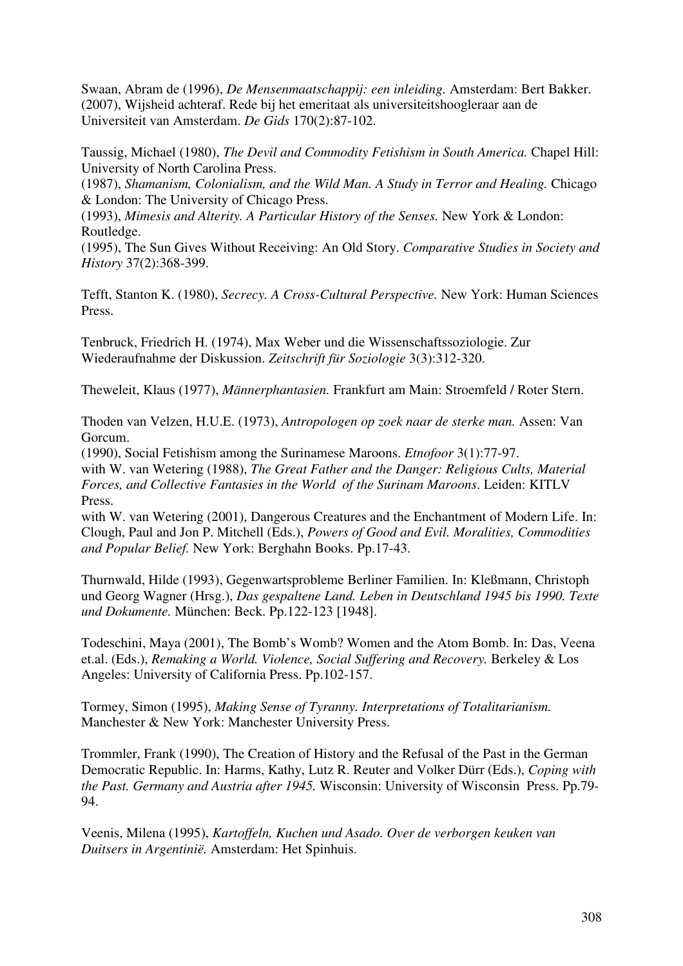Swaan, Abram de (1996), *De Mensenmaatschappij: een inleiding.* Amsterdam: Bert Bakker. (2007), Wijsheid achteraf. Rede bij het emeritaat als universiteitshoogleraar aan de Universiteit van Amsterdam. *De Gids* 170(2):87-102.

Taussig, Michael (1980), *The Devil and Commodity Fetishism in South America.* Chapel Hill: University of North Carolina Press.

(1987), *Shamanism, Colonialism, and the Wild Man. A Study in Terror and Healing.* Chicago & London: The University of Chicago Press.

(1993), *Mimesis and Alterity. A Particular History of the Senses.* New York & London: Routledge.

(1995), The Sun Gives Without Receiving: An Old Story. *Comparative Studies in Society and History* 37(2):368-399.

Tefft, Stanton K. (1980), *Secrecy. A Cross-Cultural Perspective.* New York: Human Sciences Press.

Tenbruck, Friedrich H. (1974), Max Weber und die Wissenschaftssoziologie. Zur Wiederaufnahme der Diskussion. *Zeitschrift für Soziologie* 3(3):312-320.

Theweleit, Klaus (1977), *Männerphantasien.* Frankfurt am Main: Stroemfeld / Roter Stern.

Thoden van Velzen, H.U.E. (1973), *Antropologen op zoek naar de sterke man.* Assen: Van Gorcum.

(1990), Social Fetishism among the Surinamese Maroons. *Etnofoor* 3(1):77-97.

with W. van Wetering (1988), *The Great Father and the Danger: Religious Cults, Material Forces, and Collective Fantasies in the World of the Surinam Maroons*. Leiden: KITLV Press.

with W. van Wetering (2001), Dangerous Creatures and the Enchantment of Modern Life. In: Clough, Paul and Jon P. Mitchell (Eds.), *Powers of Good and Evil. Moralities, Commodities and Popular Belief.* New York: Berghahn Books. Pp.17-43.

Thurnwald, Hilde (1993), Gegenwartsprobleme Berliner Familien. In: Kleßmann, Christoph und Georg Wagner (Hrsg.), *Das gespaltene Land. Leben in Deutschland 1945 bis 1990. Texte und Dokumente.* München: Beck. Pp.122-123 [1948].

Todeschini, Maya (2001), The Bomb's Womb? Women and the Atom Bomb. In: Das, Veena et.al. (Eds.), *Remaking a World. Violence, Social Suffering and Recovery.* Berkeley & Los Angeles: University of California Press. Pp.102-157.

Tormey, Simon (1995), *Making Sense of Tyranny. Interpretations of Totalitarianism.* Manchester & New York: Manchester University Press.

Trommler, Frank (1990), The Creation of History and the Refusal of the Past in the German Democratic Republic. In: Harms, Kathy, Lutz R. Reuter and Volker Dürr (Eds.), *Coping with the Past. Germany and Austria after 1945.* Wisconsin: University of Wisconsin Press. Pp.79- 94.

Veenis, Milena (1995), *Kartoffeln, Kuchen und Asado. Over de verborgen keuken van Duitsers in Argentinië.* Amsterdam: Het Spinhuis.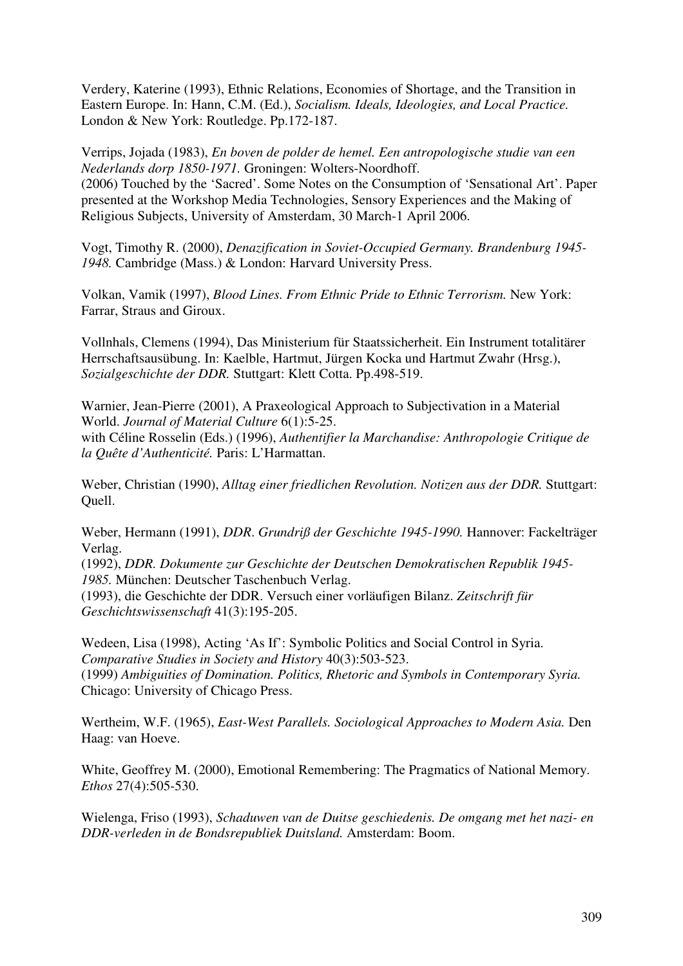Verdery, Katerine (1993), Ethnic Relations, Economies of Shortage, and the Transition in Eastern Europe. In: Hann, C.M. (Ed.), *Socialism. Ideals, Ideologies, and Local Practice.* London & New York: Routledge. Pp.172-187.

Verrips, Jojada (1983), *En boven de polder de hemel. Een antropologische studie van een Nederlands dorp 1850-1971.* Groningen: Wolters-Noordhoff. (2006) Touched by the 'Sacred'. Some Notes on the Consumption of 'Sensational Art'. Paper presented at the Workshop Media Technologies, Sensory Experiences and the Making of Religious Subjects, University of Amsterdam, 30 March-1 April 2006.

Vogt, Timothy R. (2000), *Denazification in Soviet-Occupied Germany. Brandenburg 1945- 1948.* Cambridge (Mass.) & London: Harvard University Press.

Volkan, Vamik (1997), *Blood Lines. From Ethnic Pride to Ethnic Terrorism.* New York: Farrar, Straus and Giroux.

Vollnhals, Clemens (1994), Das Ministerium für Staatssicherheit. Ein Instrument totalitärer Herrschaftsausübung. In: Kaelble, Hartmut, Jürgen Kocka und Hartmut Zwahr (Hrsg.), *Sozialgeschichte der DDR.* Stuttgart: Klett Cotta. Pp.498-519.

Warnier, Jean-Pierre (2001), A Praxeological Approach to Subjectivation in a Material World. *Journal of Material Culture* 6(1):5-25.

with Céline Rosselin (Eds.) (1996), *Authentifier la Marchandise: Anthropologie Critique de la Quête d'Authenticité.* Paris: L'Harmattan.

Weber, Christian (1990), *Alltag einer friedlichen Revolution. Notizen aus der DDR.* Stuttgart: Quell.

Weber, Hermann (1991), *DDR*. *Grundriß der Geschichte 1945-1990.* Hannover: Fackelträger Verlag.

(1992), *DDR. Dokumente zur Geschichte der Deutschen Demokratischen Republik 1945- 1985.* München: Deutscher Taschenbuch Verlag.

(1993), die Geschichte der DDR. Versuch einer vorläufigen Bilanz. *Zeitschrift für Geschichtswissenschaft* 41(3):195-205.

Wedeen, Lisa (1998), Acting 'As If': Symbolic Politics and Social Control in Syria. *Comparative Studies in Society and History* 40(3):503-523. (1999) *Ambiguities of Domination. Politics, Rhetoric and Symbols in Contemporary Syria.* Chicago: University of Chicago Press.

Wertheim, W.F. (1965), *East-West Parallels. Sociological Approaches to Modern Asia.* Den Haag: van Hoeve.

White, Geoffrey M. (2000), Emotional Remembering: The Pragmatics of National Memory. *Ethos* 27(4):505-530.

Wielenga, Friso (1993), *Schaduwen van de Duitse geschiedenis. De omgang met het nazi- en DDR-verleden in de Bondsrepubliek Duitsland.* Amsterdam: Boom.